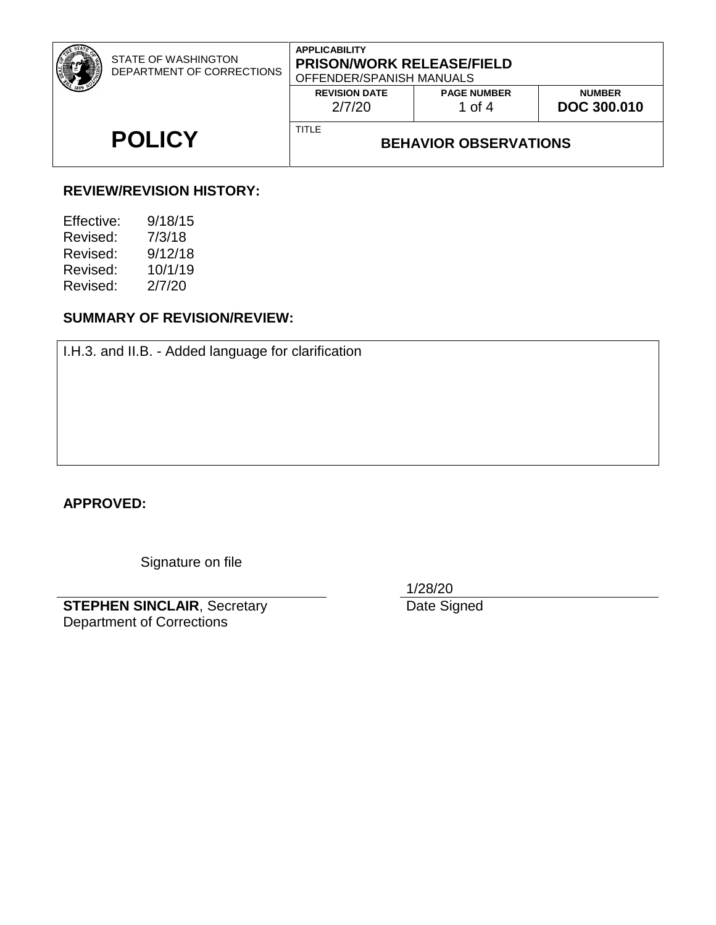|               | STATE OF WASHINGTON<br>DEPARTMENT OF CORRECTIONS | <b>APPLICABILITY</b><br><b>PRISON/WORK RELEASE/FIELD</b><br>OFFENDER/SPANISH MANUALS |                                |                                     |
|---------------|--------------------------------------------------|--------------------------------------------------------------------------------------|--------------------------------|-------------------------------------|
|               |                                                  | <b>REVISION DATE</b><br>2/7/20                                                       | <b>PAGE NUMBER</b><br>1 of $4$ | <b>NUMBER</b><br><b>DOC 300.010</b> |
| <b>POLICY</b> |                                                  | <b>TITLE</b><br><b>BEHAVIOR OBSERVATIONS</b>                                         |                                |                                     |

# **REVIEW/REVISION HISTORY:**

| 9/18/15 |
|---------|
| 7/3/18  |
| 9/12/18 |
| 10/1/19 |
| 2/7/20  |
|         |

# **SUMMARY OF REVISION/REVIEW:**

I.H.3. and II.B. - Added language for clarification

**APPROVED:**

Signature on file

**STEPHEN SINCLAIR**, Secretary Department of Corrections

1/28/20

Date Signed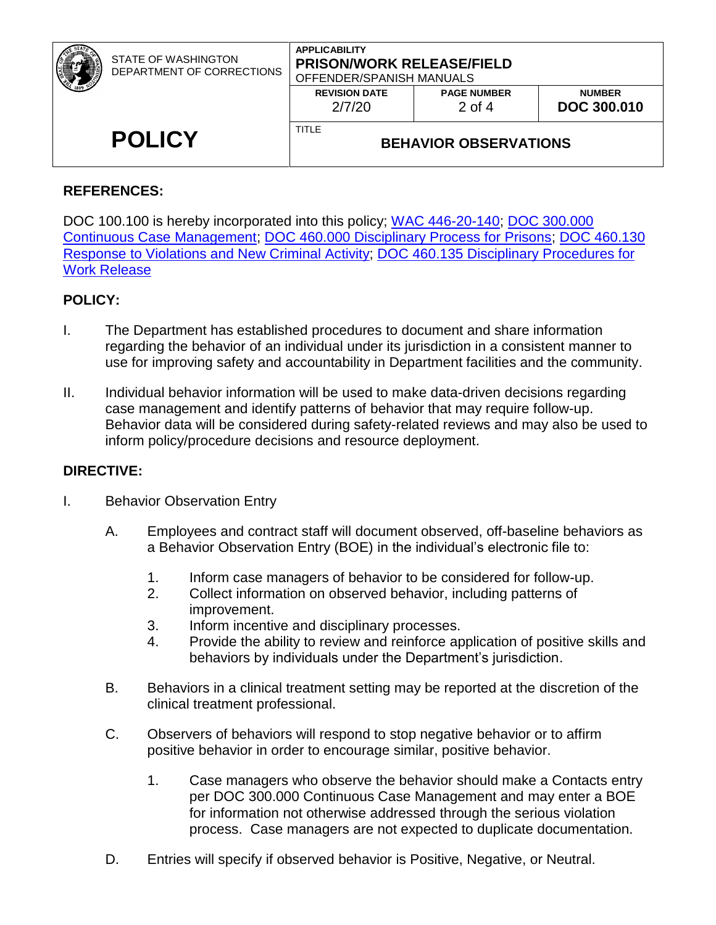|               | <b>STATE OF WASHINGTON</b><br>DEPARTMENT OF CORRECTIONS | <b>APPLICABILITY</b><br><b>PRISON/WORK RELEASE/FIELD</b><br>OFFENDER/SPANISH MANUALS |                                |                                     |
|---------------|---------------------------------------------------------|--------------------------------------------------------------------------------------|--------------------------------|-------------------------------------|
|               |                                                         | <b>REVISION DATE</b><br>2/7/20                                                       | <b>PAGE NUMBER</b><br>$2$ of 4 | <b>NUMBER</b><br><b>DOC 300.010</b> |
| <b>POLICY</b> |                                                         | TITLE<br><b>BEHAVIOR OBSERVATIONS</b>                                                |                                |                                     |

### **REFERENCES:**

DOC 100.100 is hereby incorporated into this policy; [WAC 446-20-140;](http://apps.leg.wa.gov/wac/default.aspx?cite=446-20-140) [DOC 300.000](http://insidedoc/policies/DOC/word/300000.pdf)  [Continuous Case Management;](http://insidedoc/policies/DOC/word/300000.pdf) [DOC 460.000 Disciplinary Process for Prisons;](http://insidedoc/policies/DOC/word/460000.pdf) [DOC 460.130](http://insidedoc/policies/DOC/word/460130.pdf)  [Response to Violations and New Criminal Activity;](http://insidedoc/policies/DOC/word/460130.pdf) [DOC 460.135 Disciplinary Procedures for](http://insidedoc/policies/DOC/word/460135.pdf)  [Work Release](http://insidedoc/policies/DOC/word/460135.pdf)

### **POLICY:**

- I. The Department has established procedures to document and share information regarding the behavior of an individual under its jurisdiction in a consistent manner to use for improving safety and accountability in Department facilities and the community.
- II. Individual behavior information will be used to make data-driven decisions regarding case management and identify patterns of behavior that may require follow-up. Behavior data will be considered during safety-related reviews and may also be used to inform policy/procedure decisions and resource deployment.

### **DIRECTIVE:**

- I. Behavior Observation Entry
	- A. Employees and contract staff will document observed, off-baseline behaviors as a Behavior Observation Entry (BOE) in the individual's electronic file to:
		- 1. Inform case managers of behavior to be considered for follow-up.
		- 2. Collect information on observed behavior, including patterns of improvement.
		- 3. Inform incentive and disciplinary processes.
		- 4. Provide the ability to review and reinforce application of positive skills and behaviors by individuals under the Department's jurisdiction.
	- B. Behaviors in a clinical treatment setting may be reported at the discretion of the clinical treatment professional.
	- C. Observers of behaviors will respond to stop negative behavior or to affirm positive behavior in order to encourage similar, positive behavior.
		- 1. Case managers who observe the behavior should make a Contacts entry per DOC 300.000 Continuous Case Management and may enter a BOE for information not otherwise addressed through the serious violation process. Case managers are not expected to duplicate documentation.
	- D. Entries will specify if observed behavior is Positive, Negative, or Neutral.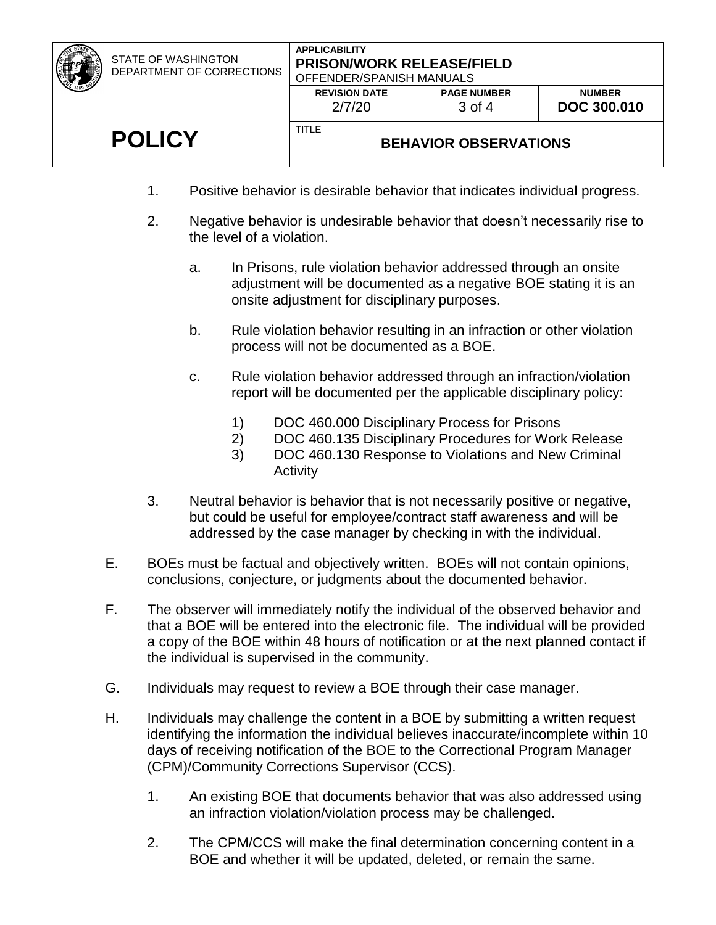| STATE OF WASHINGTON       |
|---------------------------|
| DEPARTMENT OF CORRECTIONS |

#### **APPLICABILITY PRISON/WORK RELEASE/FIELD** OFFENDER/SPANISH MANUALS

| <b>REVISION DATE</b> | <b>PAGE NUMBER</b> |
|----------------------|--------------------|
| 2/7/20               | 3 of 4             |
|                      |                    |

# **POLICY**

# **BEHAVIOR OBSERVATIONS**

1. Positive behavior is desirable behavior that indicates individual progress.

TITLE

- 2. Negative behavior is undesirable behavior that doesn't necessarily rise to the level of a violation.
	- a. In Prisons, rule violation behavior addressed through an onsite adjustment will be documented as a negative BOE stating it is an onsite adjustment for disciplinary purposes.
	- b. Rule violation behavior resulting in an infraction or other violation process will not be documented as a BOE.
	- c. Rule violation behavior addressed through an infraction/violation report will be documented per the applicable disciplinary policy:
		- 1) DOC 460.000 Disciplinary Process for Prisons
		- 2) DOC 460.135 Disciplinary Procedures for Work Release
		- 3) DOC 460.130 Response to Violations and New Criminal **Activity**
- 3. Neutral behavior is behavior that is not necessarily positive or negative, but could be useful for employee/contract staff awareness and will be addressed by the case manager by checking in with the individual.
- E. BOEs must be factual and objectively written. BOEs will not contain opinions, conclusions, conjecture, or judgments about the documented behavior.
- F. The observer will immediately notify the individual of the observed behavior and that a BOE will be entered into the electronic file. The individual will be provided a copy of the BOE within 48 hours of notification or at the next planned contact if the individual is supervised in the community.
- G. Individuals may request to review a BOE through their case manager.
- H. Individuals may challenge the content in a BOE by submitting a written request identifying the information the individual believes inaccurate/incomplete within 10 days of receiving notification of the BOE to the Correctional Program Manager (CPM)/Community Corrections Supervisor (CCS).
	- 1. An existing BOE that documents behavior that was also addressed using an infraction violation/violation process may be challenged.
	- 2. The CPM/CCS will make the final determination concerning content in a BOE and whether it will be updated, deleted, or remain the same.